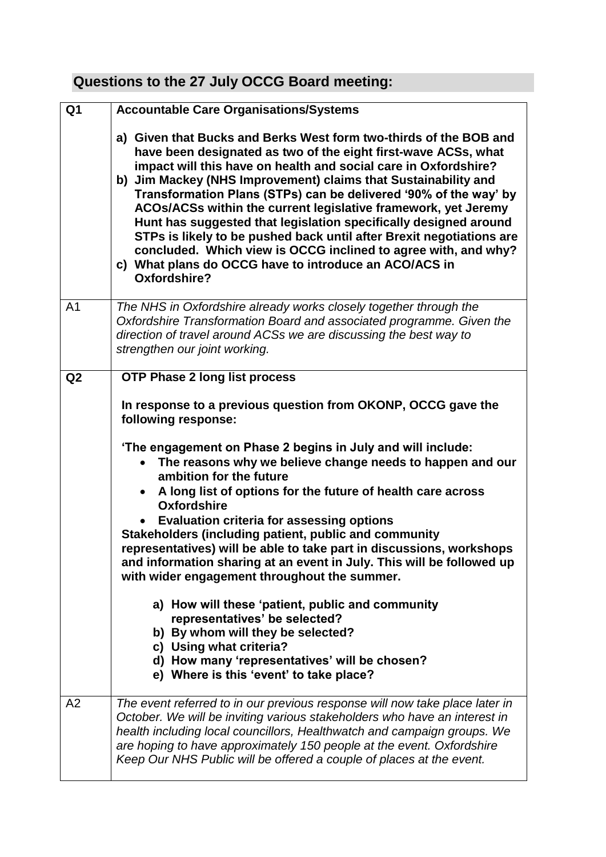## **Questions to the 27 July OCCG Board meeting:**

| Q <sub>1</sub> | <b>Accountable Care Organisations/Systems</b>                                                                                                                                                                                                                                                                                                                                                                                                                                                                                                                                                                                                                                                                                                                                                                                                                                                                                                       |
|----------------|-----------------------------------------------------------------------------------------------------------------------------------------------------------------------------------------------------------------------------------------------------------------------------------------------------------------------------------------------------------------------------------------------------------------------------------------------------------------------------------------------------------------------------------------------------------------------------------------------------------------------------------------------------------------------------------------------------------------------------------------------------------------------------------------------------------------------------------------------------------------------------------------------------------------------------------------------------|
|                | a) Given that Bucks and Berks West form two-thirds of the BOB and<br>have been designated as two of the eight first-wave ACSs, what<br>impact will this have on health and social care in Oxfordshire?<br>b) Jim Mackey (NHS Improvement) claims that Sustainability and<br>Transformation Plans (STPs) can be delivered '90% of the way' by<br>ACOs/ACSs within the current legislative framework, yet Jeremy<br>Hunt has suggested that legislation specifically designed around<br>STPs is likely to be pushed back until after Brexit negotiations are<br>concluded. Which view is OCCG inclined to agree with, and why?<br>c) What plans do OCCG have to introduce an ACO/ACS in<br>Oxfordshire?                                                                                                                                                                                                                                               |
| A <sub>1</sub> | The NHS in Oxfordshire already works closely together through the<br>Oxfordshire Transformation Board and associated programme. Given the<br>direction of travel around ACSs we are discussing the best way to<br>strengthen our joint working.                                                                                                                                                                                                                                                                                                                                                                                                                                                                                                                                                                                                                                                                                                     |
| Q2             | <b>OTP Phase 2 long list process</b><br>In response to a previous question from OKONP, OCCG gave the<br>following response:<br>'The engagement on Phase 2 begins in July and will include:<br>The reasons why we believe change needs to happen and our<br>ambition for the future<br>A long list of options for the future of health care across<br>$\bullet$<br><b>Oxfordshire</b><br><b>Evaluation criteria for assessing options</b><br>Stakeholders (including patient, public and community<br>representatives) will be able to take part in discussions, workshops<br>and information sharing at an event in July. This will be followed up<br>with wider engagement throughout the summer.<br>a) How will these 'patient, public and community<br>representatives' be selected?<br>b) By whom will they be selected?<br>c) Using what criteria?<br>d) How many 'representatives' will be chosen?<br>e) Where is this 'event' to take place? |
| A2             | The event referred to in our previous response will now take place later in<br>October. We will be inviting various stakeholders who have an interest in<br>health including local councillors, Healthwatch and campaign groups. We<br>are hoping to have approximately 150 people at the event. Oxfordshire<br>Keep Our NHS Public will be offered a couple of places at the event.                                                                                                                                                                                                                                                                                                                                                                                                                                                                                                                                                                |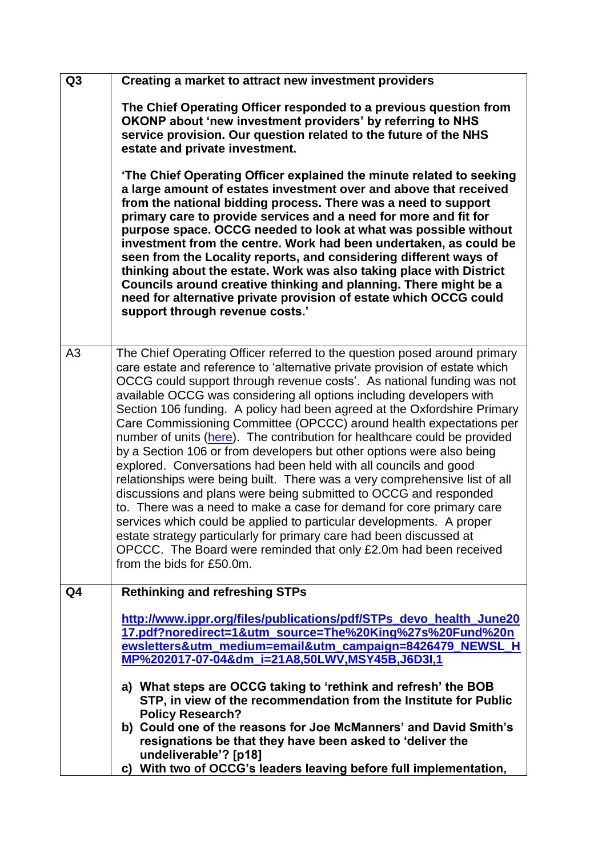| Creating a market to attract new investment providers                                                                                                                                                                                                                                                                                                                                                                                                                                                                                                                                                                                                                                                                                                                                                                                                                                                                                                                                                                                                                                                                                                             |
|-------------------------------------------------------------------------------------------------------------------------------------------------------------------------------------------------------------------------------------------------------------------------------------------------------------------------------------------------------------------------------------------------------------------------------------------------------------------------------------------------------------------------------------------------------------------------------------------------------------------------------------------------------------------------------------------------------------------------------------------------------------------------------------------------------------------------------------------------------------------------------------------------------------------------------------------------------------------------------------------------------------------------------------------------------------------------------------------------------------------------------------------------------------------|
| The Chief Operating Officer responded to a previous question from<br>OKONP about 'new investment providers' by referring to NHS<br>service provision. Our question related to the future of the NHS<br>estate and private investment.                                                                                                                                                                                                                                                                                                                                                                                                                                                                                                                                                                                                                                                                                                                                                                                                                                                                                                                             |
| 'The Chief Operating Officer explained the minute related to seeking<br>a large amount of estates investment over and above that received<br>from the national bidding process. There was a need to support<br>primary care to provide services and a need for more and fit for<br>purpose space. OCCG needed to look at what was possible without<br>investment from the centre. Work had been undertaken, as could be<br>seen from the Locality reports, and considering different ways of<br>thinking about the estate. Work was also taking place with District<br>Councils around creative thinking and planning. There might be a<br>need for alternative private provision of estate which OCCG could<br>support through revenue costs.'                                                                                                                                                                                                                                                                                                                                                                                                                   |
| The Chief Operating Officer referred to the question posed around primary<br>care estate and reference to 'alternative private provision of estate which<br>OCCG could support through revenue costs'. As national funding was not<br>available OCCG was considering all options including developers with<br>Section 106 funding. A policy had been agreed at the Oxfordshire Primary<br>Care Commissioning Committee (OPCCC) around health expectations per<br>number of units (here). The contribution for healthcare could be provided<br>by a Section 106 or from developers but other options were also being<br>explored. Conversations had been held with all councils and good<br>relationships were being built. There was a very comprehensive list of all<br>discussions and plans were being submitted to OCCG and responded<br>to. There was a need to make a case for demand for core primary care<br>services which could be applied to particular developments. A proper<br>estate strategy particularly for primary care had been discussed at<br>OPCCC. The Board were reminded that only £2.0m had been received<br>from the bids for £50.0m. |
| <b>Rethinking and refreshing STPs</b><br>http://www.ippr.org/files/publications/pdf/STPs_devo_health_June20<br>17.pdf?noredirect=1&utm_source=The%20King%27s%20Fund%20n<br>ewsletters&utm_medium=email&utm_campaign=8426479_NEWSL_H<br>MP%202017-07-04&dm_i=21A8,50LWV,MSY45B,J6D3I,1<br>a) What steps are OCCG taking to 'rethink and refresh' the BOB<br>STP, in view of the recommendation from the Institute for Public<br><b>Policy Research?</b><br>b) Could one of the reasons for Joe McManners' and David Smith's<br>resignations be that they have been asked to 'deliver the<br>undeliverable'? [p18]<br>c) With two of OCCG's leaders leaving before full implementation,                                                                                                                                                                                                                                                                                                                                                                                                                                                                             |
|                                                                                                                                                                                                                                                                                                                                                                                                                                                                                                                                                                                                                                                                                                                                                                                                                                                                                                                                                                                                                                                                                                                                                                   |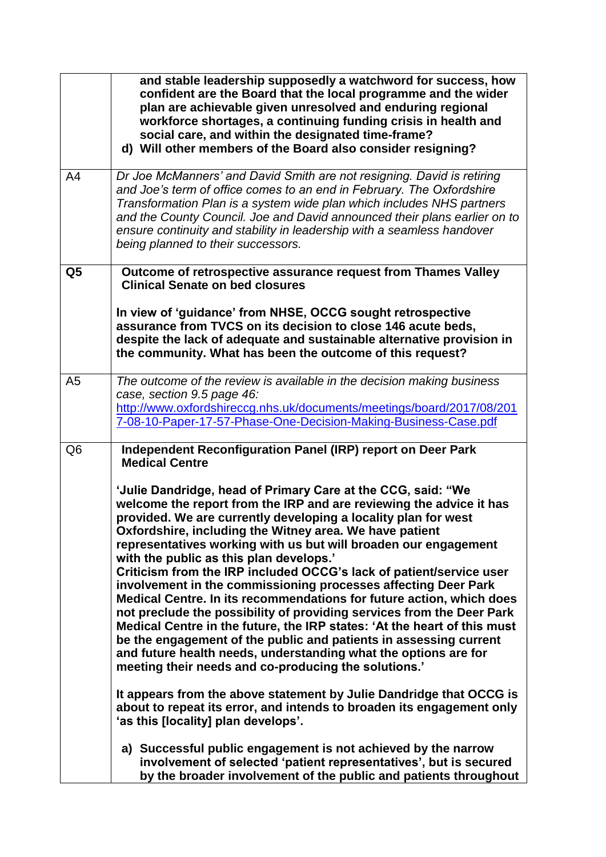|                | and stable leadership supposedly a watchword for success, how<br>confident are the Board that the local programme and the wider<br>plan are achievable given unresolved and enduring regional<br>workforce shortages, a continuing funding crisis in health and<br>social care, and within the designated time-frame?<br>d) Will other members of the Board also consider resigning?                                                                                                                                                                                                                                                                                                                                                                                                                                                                                                                                                                                                                                                                                                                                                                                                                                                                                                                                                                                      |
|----------------|---------------------------------------------------------------------------------------------------------------------------------------------------------------------------------------------------------------------------------------------------------------------------------------------------------------------------------------------------------------------------------------------------------------------------------------------------------------------------------------------------------------------------------------------------------------------------------------------------------------------------------------------------------------------------------------------------------------------------------------------------------------------------------------------------------------------------------------------------------------------------------------------------------------------------------------------------------------------------------------------------------------------------------------------------------------------------------------------------------------------------------------------------------------------------------------------------------------------------------------------------------------------------------------------------------------------------------------------------------------------------|
| A4             | Dr Joe McManners' and David Smith are not resigning. David is retiring<br>and Joe's term of office comes to an end in February. The Oxfordshire<br>Transformation Plan is a system wide plan which includes NHS partners<br>and the County Council. Joe and David announced their plans earlier on to<br>ensure continuity and stability in leadership with a seamless handover<br>being planned to their successors.                                                                                                                                                                                                                                                                                                                                                                                                                                                                                                                                                                                                                                                                                                                                                                                                                                                                                                                                                     |
| Q <sub>5</sub> | Outcome of retrospective assurance request from Thames Valley<br><b>Clinical Senate on bed closures</b><br>In view of 'guidance' from NHSE, OCCG sought retrospective<br>assurance from TVCS on its decision to close 146 acute beds,<br>despite the lack of adequate and sustainable alternative provision in<br>the community. What has been the outcome of this request?                                                                                                                                                                                                                                                                                                                                                                                                                                                                                                                                                                                                                                                                                                                                                                                                                                                                                                                                                                                               |
| A <sub>5</sub> | The outcome of the review is available in the decision making business<br>case, section 9.5 page 46:<br>http://www.oxfordshireccg.nhs.uk/documents/meetings/board/2017/08/201<br>7-08-10-Paper-17-57-Phase-One-Decision-Making-Business-Case.pdf                                                                                                                                                                                                                                                                                                                                                                                                                                                                                                                                                                                                                                                                                                                                                                                                                                                                                                                                                                                                                                                                                                                          |
| Q <sub>6</sub> | Independent Reconfiguration Panel (IRP) report on Deer Park<br><b>Medical Centre</b><br>'Julie Dandridge, head of Primary Care at the CCG, said: "We<br>welcome the report from the IRP and are reviewing the advice it has<br>provided. We are currently developing a locality plan for west<br>Oxfordshire, including the Witney area. We have patient<br>representatives working with us but will broaden our engagement<br>with the public as this plan develops.'<br>Criticism from the IRP included OCCG's lack of patient/service user<br>involvement in the commissioning processes affecting Deer Park<br>Medical Centre. In its recommendations for future action, which does<br>not preclude the possibility of providing services from the Deer Park<br>Medical Centre in the future, the IRP states: 'At the heart of this must<br>be the engagement of the public and patients in assessing current<br>and future health needs, understanding what the options are for<br>meeting their needs and co-producing the solutions.'<br>It appears from the above statement by Julie Dandridge that OCCG is<br>about to repeat its error, and intends to broaden its engagement only<br>'as this [locality] plan develops'.<br>a) Successful public engagement is not achieved by the narrow<br>involvement of selected 'patient representatives', but is secured |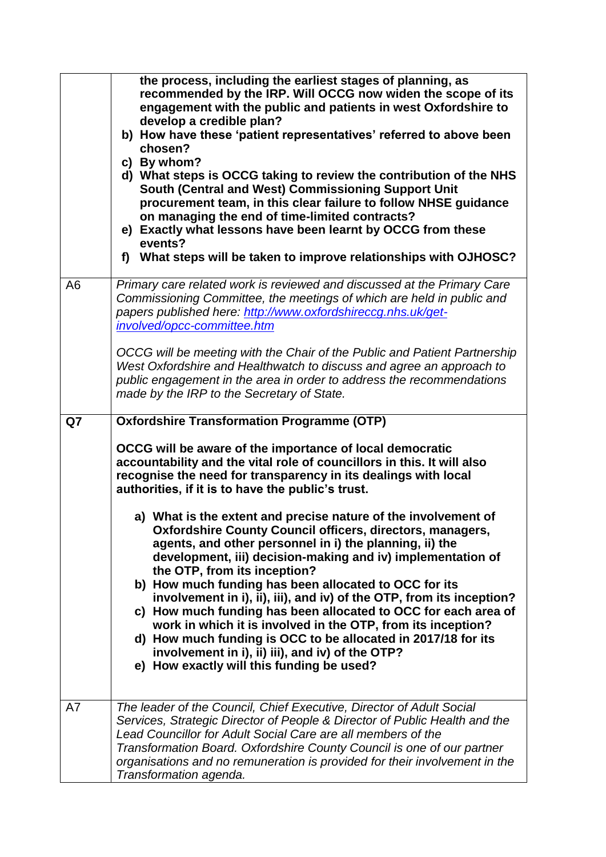|                | the process, including the earliest stages of planning, as<br>recommended by the IRP. Will OCCG now widen the scope of its<br>engagement with the public and patients in west Oxfordshire to<br>develop a credible plan?<br>b) How have these 'patient representatives' referred to above been<br>chosen?<br>c) By whom?<br>d) What steps is OCCG taking to review the contribution of the NHS<br>South (Central and West) Commissioning Support Unit<br>procurement team, in this clear failure to follow NHSE guidance<br>on managing the end of time-limited contracts?<br>e) Exactly what lessons have been learnt by OCCG from these<br>events?<br>f) What steps will be taken to improve relationships with OJHOSC?                                                                                                                                                                                                                                                                                                                            |
|----------------|------------------------------------------------------------------------------------------------------------------------------------------------------------------------------------------------------------------------------------------------------------------------------------------------------------------------------------------------------------------------------------------------------------------------------------------------------------------------------------------------------------------------------------------------------------------------------------------------------------------------------------------------------------------------------------------------------------------------------------------------------------------------------------------------------------------------------------------------------------------------------------------------------------------------------------------------------------------------------------------------------------------------------------------------------|
| A <sub>6</sub> | Primary care related work is reviewed and discussed at the Primary Care<br>Commissioning Committee, the meetings of which are held in public and<br>papers published here: http://www.oxfordshireccg.nhs.uk/get-<br>involved/opcc-committee.htm<br>OCCG will be meeting with the Chair of the Public and Patient Partnership<br>West Oxfordshire and Healthwatch to discuss and agree an approach to<br>public engagement in the area in order to address the recommendations<br>made by the IRP to the Secretary of State.                                                                                                                                                                                                                                                                                                                                                                                                                                                                                                                          |
| Q7             | <b>Oxfordshire Transformation Programme (OTP)</b><br>OCCG will be aware of the importance of local democratic<br>accountability and the vital role of councillors in this. It will also<br>recognise the need for transparency in its dealings with local<br>authorities, if it is to have the public's trust.<br>a) What is the extent and precise nature of the involvement of<br><b>Oxfordshire County Council officers, directors, managers,</b><br>agents, and other personnel in i) the planning, ii) the<br>development, iii) decision-making and iv) implementation of<br>the OTP, from its inception?<br>b) How much funding has been allocated to OCC for its<br>involvement in i), ii), iii), and iv) of the OTP, from its inception?<br>c) How much funding has been allocated to OCC for each area of<br>work in which it is involved in the OTP, from its inception?<br>d) How much funding is OCC to be allocated in 2017/18 for its<br>involvement in i), ii) iii), and iv) of the OTP?<br>e) How exactly will this funding be used? |
| A7             | The leader of the Council, Chief Executive, Director of Adult Social<br>Services, Strategic Director of People & Director of Public Health and the<br>Lead Councillor for Adult Social Care are all members of the<br>Transformation Board. Oxfordshire County Council is one of our partner<br>organisations and no remuneration is provided for their involvement in the<br>Transformation agenda.                                                                                                                                                                                                                                                                                                                                                                                                                                                                                                                                                                                                                                                 |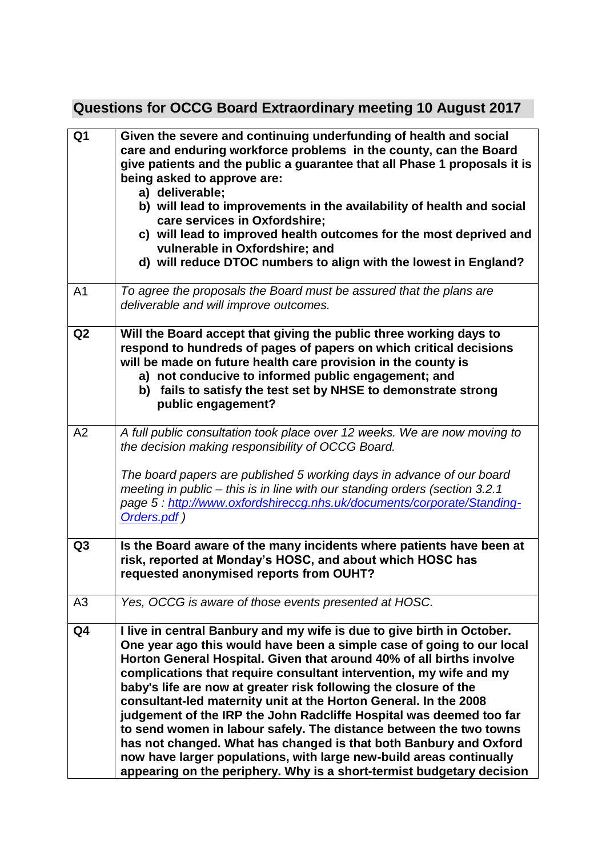## **Questions for OCCG Board Extraordinary meeting 10 August 2017**

| Q <sub>1</sub> | Given the severe and continuing underfunding of health and social<br>care and enduring workforce problems in the county, can the Board<br>give patients and the public a guarantee that all Phase 1 proposals it is<br>being asked to approve are:<br>a) deliverable;<br>b) will lead to improvements in the availability of health and social<br>care services in Oxfordshire;<br>c) will lead to improved health outcomes for the most deprived and<br>vulnerable in Oxfordshire; and<br>d) will reduce DTOC numbers to align with the lowest in England?                                                                                                                                                                                                                                             |
|----------------|---------------------------------------------------------------------------------------------------------------------------------------------------------------------------------------------------------------------------------------------------------------------------------------------------------------------------------------------------------------------------------------------------------------------------------------------------------------------------------------------------------------------------------------------------------------------------------------------------------------------------------------------------------------------------------------------------------------------------------------------------------------------------------------------------------|
| A <sub>1</sub> | To agree the proposals the Board must be assured that the plans are<br>deliverable and will improve outcomes.                                                                                                                                                                                                                                                                                                                                                                                                                                                                                                                                                                                                                                                                                           |
| Q2             | Will the Board accept that giving the public three working days to<br>respond to hundreds of pages of papers on which critical decisions<br>will be made on future health care provision in the county is<br>a) not conducive to informed public engagement; and<br>b) fails to satisfy the test set by NHSE to demonstrate strong<br>public engagement?                                                                                                                                                                                                                                                                                                                                                                                                                                                |
| A2             | A full public consultation took place over 12 weeks. We are now moving to<br>the decision making responsibility of OCCG Board.<br>The board papers are published 5 working days in advance of our board<br>meeting in public - this is in line with our standing orders (section 3.2.1<br>page 5: http://www.oxfordshireccg.nhs.uk/documents/corporate/Standing-<br>Orders.pdf)                                                                                                                                                                                                                                                                                                                                                                                                                         |
| Q <sub>3</sub> | Is the Board aware of the many incidents where patients have been at<br>risk, reported at Monday's HOSC, and about which HOSC has<br>requested anonymised reports from OUHT?                                                                                                                                                                                                                                                                                                                                                                                                                                                                                                                                                                                                                            |
| A <sub>3</sub> | Yes, OCCG is aware of those events presented at HOSC.                                                                                                                                                                                                                                                                                                                                                                                                                                                                                                                                                                                                                                                                                                                                                   |
| Q4             | I live in central Banbury and my wife is due to give birth in October.<br>One year ago this would have been a simple case of going to our local<br>Horton General Hospital. Given that around 40% of all births involve<br>complications that require consultant intervention, my wife and my<br>baby's life are now at greater risk following the closure of the<br>consultant-led maternity unit at the Horton General. In the 2008<br>judgement of the IRP the John Radcliffe Hospital was deemed too far<br>to send women in labour safely. The distance between the two towns<br>has not changed. What has changed is that both Banbury and Oxford<br>now have larger populations, with large new-build areas continually<br>appearing on the periphery. Why is a short-termist budgetary decision |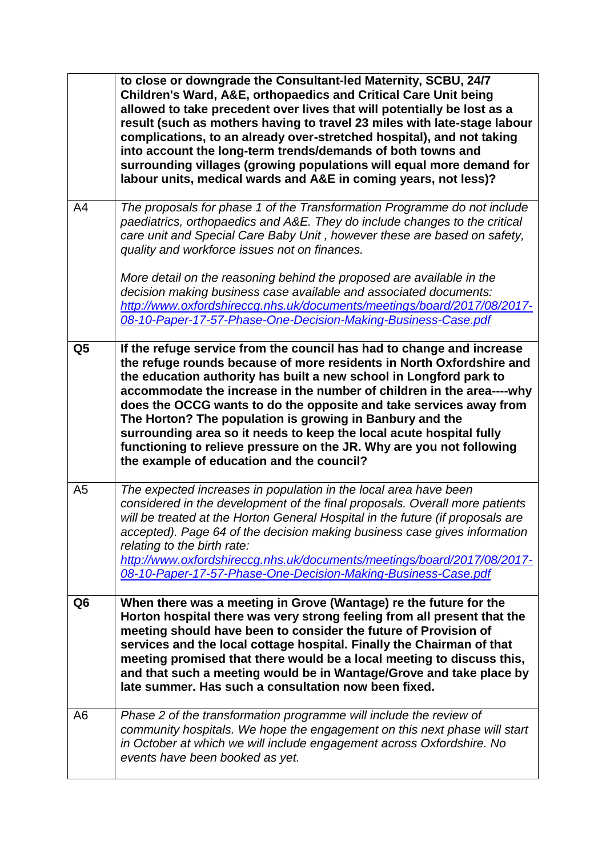|                | to close or downgrade the Consultant-led Maternity, SCBU, 24/7<br>Children's Ward, A&E, orthopaedics and Critical Care Unit being<br>allowed to take precedent over lives that will potentially be lost as a<br>result (such as mothers having to travel 23 miles with late-stage labour<br>complications, to an already over-stretched hospital), and not taking<br>into account the long-term trends/demands of both towns and<br>surrounding villages (growing populations will equal more demand for<br>labour units, medical wards and A&E in coming years, not less)?                                                |
|----------------|----------------------------------------------------------------------------------------------------------------------------------------------------------------------------------------------------------------------------------------------------------------------------------------------------------------------------------------------------------------------------------------------------------------------------------------------------------------------------------------------------------------------------------------------------------------------------------------------------------------------------|
| A <sub>4</sub> | The proposals for phase 1 of the Transformation Programme do not include<br>paediatrics, orthopaedics and A&E. They do include changes to the critical<br>care unit and Special Care Baby Unit, however these are based on safety,<br>quality and workforce issues not on finances.                                                                                                                                                                                                                                                                                                                                        |
|                | More detail on the reasoning behind the proposed are available in the<br>decision making business case available and associated documents:<br>http://www.oxfordshireccg.nhs.uk/documents/meetings/board/2017/08/2017-<br>08-10-Paper-17-57-Phase-One-Decision-Making-Business-Case.pdf                                                                                                                                                                                                                                                                                                                                     |
| Q <sub>5</sub> | If the refuge service from the council has had to change and increase<br>the refuge rounds because of more residents in North Oxfordshire and<br>the education authority has built a new school in Longford park to<br>accommodate the increase in the number of children in the area----why<br>does the OCCG wants to do the opposite and take services away from<br>The Horton? The population is growing in Banbury and the<br>surrounding area so it needs to keep the local acute hospital fully<br>functioning to relieve pressure on the JR. Why are you not following<br>the example of education and the council? |
| A <sub>5</sub> | The expected increases in population in the local area have been<br>considered in the development of the final proposals. Overall more patients<br>will be treated at the Horton General Hospital in the future (if proposals are<br>accepted). Page 64 of the decision making business case gives information<br>relating to the birth rate:<br>http://www.oxfordshireccg.nhs.uk/documents/meetings/board/2017/08/2017-<br>08-10-Paper-17-57-Phase-One-Decision-Making-Business-Case.pdf                                                                                                                                  |
| Q <sub>6</sub> | When there was a meeting in Grove (Wantage) re the future for the<br>Horton hospital there was very strong feeling from all present that the<br>meeting should have been to consider the future of Provision of<br>services and the local cottage hospital. Finally the Chairman of that<br>meeting promised that there would be a local meeting to discuss this,<br>and that such a meeting would be in Wantage/Grove and take place by<br>late summer. Has such a consultation now been fixed.                                                                                                                           |
| A6             | Phase 2 of the transformation programme will include the review of<br>community hospitals. We hope the engagement on this next phase will start<br>in October at which we will include engagement across Oxfordshire. No<br>events have been booked as yet.                                                                                                                                                                                                                                                                                                                                                                |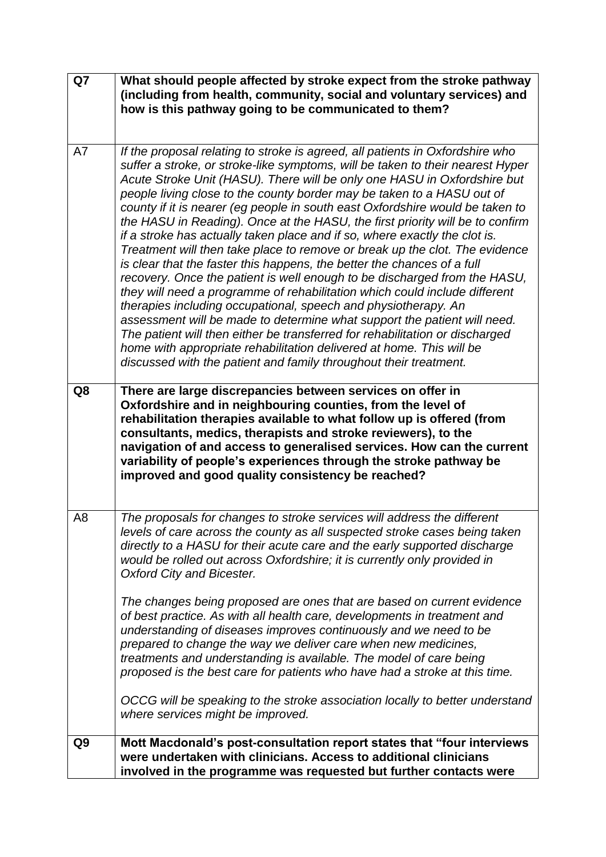| Q7             | What should people affected by stroke expect from the stroke pathway<br>(including from health, community, social and voluntary services) and<br>how is this pathway going to be communicated to them?                                                                                                                                                                                                                                                                                                                                                                                                                                                                                                                                                                                                                                                                                                                                                                                                                                                                                                                                                                                                                                                                |
|----------------|-----------------------------------------------------------------------------------------------------------------------------------------------------------------------------------------------------------------------------------------------------------------------------------------------------------------------------------------------------------------------------------------------------------------------------------------------------------------------------------------------------------------------------------------------------------------------------------------------------------------------------------------------------------------------------------------------------------------------------------------------------------------------------------------------------------------------------------------------------------------------------------------------------------------------------------------------------------------------------------------------------------------------------------------------------------------------------------------------------------------------------------------------------------------------------------------------------------------------------------------------------------------------|
| A7             | If the proposal relating to stroke is agreed, all patients in Oxfordshire who<br>suffer a stroke, or stroke-like symptoms, will be taken to their nearest Hyper<br>Acute Stroke Unit (HASU). There will be only one HASU in Oxfordshire but<br>people living close to the county border may be taken to a HASU out of<br>county if it is nearer (eg people in south east Oxfordshire would be taken to<br>the HASU in Reading). Once at the HASU, the first priority will be to confirm<br>if a stroke has actually taken place and if so, where exactly the clot is.<br>Treatment will then take place to remove or break up the clot. The evidence<br>is clear that the faster this happens, the better the chances of a full<br>recovery. Once the patient is well enough to be discharged from the HASU,<br>they will need a programme of rehabilitation which could include different<br>therapies including occupational, speech and physiotherapy. An<br>assessment will be made to determine what support the patient will need.<br>The patient will then either be transferred for rehabilitation or discharged<br>home with appropriate rehabilitation delivered at home. This will be<br>discussed with the patient and family throughout their treatment. |
| Q8             | There are large discrepancies between services on offer in<br>Oxfordshire and in neighbouring counties, from the level of<br>rehabilitation therapies available to what follow up is offered (from<br>consultants, medics, therapists and stroke reviewers), to the<br>navigation of and access to generalised services. How can the current<br>variability of people's experiences through the stroke pathway be<br>improved and good quality consistency be reached?                                                                                                                                                                                                                                                                                                                                                                                                                                                                                                                                                                                                                                                                                                                                                                                                |
| A <sub>8</sub> | The proposals for changes to stroke services will address the different<br>levels of care across the county as all suspected stroke cases being taken<br>directly to a HASU for their acute care and the early supported discharge<br>would be rolled out across Oxfordshire; it is currently only provided in<br><b>Oxford City and Bicester.</b>                                                                                                                                                                                                                                                                                                                                                                                                                                                                                                                                                                                                                                                                                                                                                                                                                                                                                                                    |
|                | The changes being proposed are ones that are based on current evidence<br>of best practice. As with all health care, developments in treatment and<br>understanding of diseases improves continuously and we need to be<br>prepared to change the way we deliver care when new medicines,<br>treatments and understanding is available. The model of care being<br>proposed is the best care for patients who have had a stroke at this time.<br>OCCG will be speaking to the stroke association locally to better understand<br>where services might be improved.                                                                                                                                                                                                                                                                                                                                                                                                                                                                                                                                                                                                                                                                                                    |
| Q9             | Mott Macdonald's post-consultation report states that "four interviews<br>were undertaken with clinicians. Access to additional clinicians<br>involved in the programme was requested but further contacts were                                                                                                                                                                                                                                                                                                                                                                                                                                                                                                                                                                                                                                                                                                                                                                                                                                                                                                                                                                                                                                                       |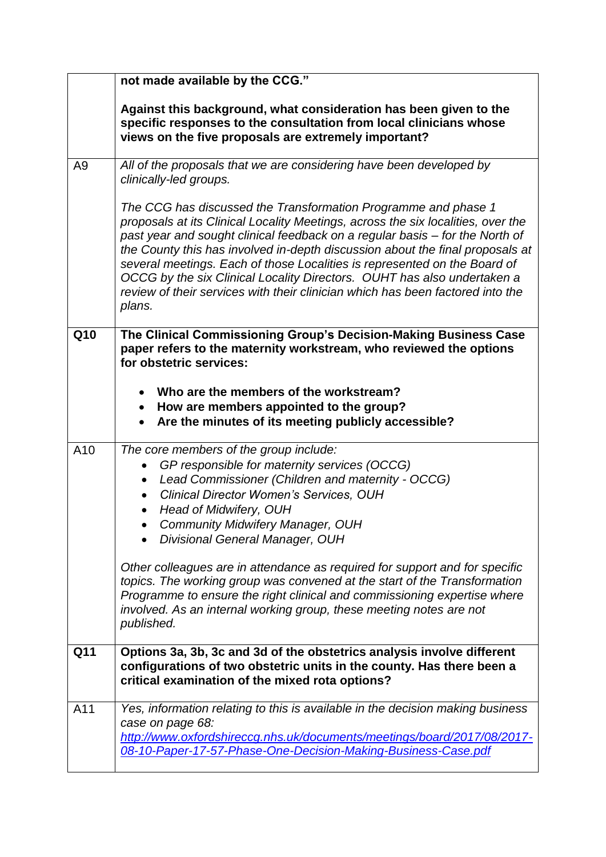|                | not made available by the CCG."                                                                                                                                                                                                                                                                                                                                                                                   |
|----------------|-------------------------------------------------------------------------------------------------------------------------------------------------------------------------------------------------------------------------------------------------------------------------------------------------------------------------------------------------------------------------------------------------------------------|
|                | Against this background, what consideration has been given to the<br>specific responses to the consultation from local clinicians whose<br>views on the five proposals are extremely important?                                                                                                                                                                                                                   |
| A <sub>9</sub> | All of the proposals that we are considering have been developed by<br>clinically-led groups.<br>The CCG has discussed the Transformation Programme and phase 1<br>proposals at its Clinical Locality Meetings, across the six localities, over the                                                                                                                                                               |
|                | past year and sought clinical feedback on a regular basis – for the North of<br>the County this has involved in-depth discussion about the final proposals at<br>several meetings. Each of those Localities is represented on the Board of<br>OCCG by the six Clinical Locality Directors. OUHT has also undertaken a<br>review of their services with their clinician which has been factored into the<br>plans. |
| Q10            | The Clinical Commissioning Group's Decision-Making Business Case<br>paper refers to the maternity workstream, who reviewed the options<br>for obstetric services:                                                                                                                                                                                                                                                 |
|                | Who are the members of the workstream?<br>How are members appointed to the group?<br>Are the minutes of its meeting publicly accessible?                                                                                                                                                                                                                                                                          |
| A10            | The core members of the group include:<br>GP responsible for maternity services (OCCG)<br>$\bullet$                                                                                                                                                                                                                                                                                                               |
|                | Lead Commissioner (Children and maternity - OCCG)<br>$\bullet$                                                                                                                                                                                                                                                                                                                                                    |
|                | <b>Clinical Director Women's Services, OUH</b><br>$\bullet$<br>Head of Midwifery, OUH                                                                                                                                                                                                                                                                                                                             |
|                | <b>Community Midwifery Manager, OUH</b>                                                                                                                                                                                                                                                                                                                                                                           |
|                | Divisional General Manager, OUH                                                                                                                                                                                                                                                                                                                                                                                   |
|                | Other colleagues are in attendance as required for support and for specific<br>topics. The working group was convened at the start of the Transformation<br>Programme to ensure the right clinical and commissioning expertise where<br>involved. As an internal working group, these meeting notes are not<br>published.                                                                                         |
| Q11            | Options 3a, 3b, 3c and 3d of the obstetrics analysis involve different<br>configurations of two obstetric units in the county. Has there been a<br>critical examination of the mixed rota options?                                                                                                                                                                                                                |
| A11            | Yes, information relating to this is available in the decision making business<br>case on page 68:                                                                                                                                                                                                                                                                                                                |
|                | http://www.oxfordshireccg.nhs.uk/documents/meetings/board/2017/08/2017-<br>08-10-Paper-17-57-Phase-One-Decision-Making-Business-Case.pdf                                                                                                                                                                                                                                                                          |
|                |                                                                                                                                                                                                                                                                                                                                                                                                                   |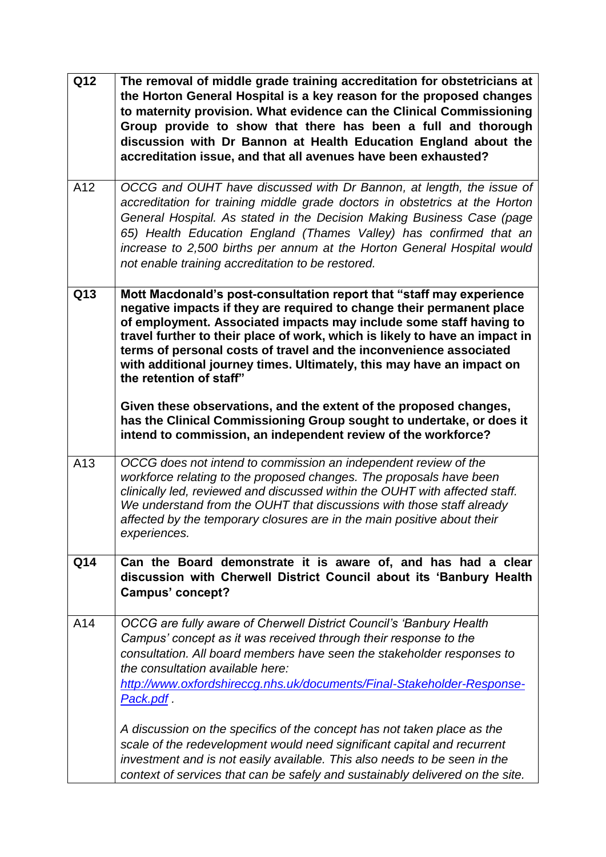| Q12 | The removal of middle grade training accreditation for obstetricians at                          |
|-----|--------------------------------------------------------------------------------------------------|
|     | the Horton General Hospital is a key reason for the proposed changes                             |
|     | to maternity provision. What evidence can the Clinical Commissioning                             |
|     | Group provide to show that there has been a full and thorough                                    |
|     | discussion with Dr Bannon at Health Education England about the                                  |
|     | accreditation issue, and that all avenues have been exhausted?                                   |
|     |                                                                                                  |
| A12 | OCCG and OUHT have discussed with Dr Bannon, at length, the issue of                             |
|     | accreditation for training middle grade doctors in obstetrics at the Horton                      |
|     |                                                                                                  |
|     | General Hospital. As stated in the Decision Making Business Case (page                           |
|     | 65) Health Education England (Thames Valley) has confirmed that an                               |
|     | increase to 2,500 births per annum at the Horton General Hospital would                          |
|     | not enable training accreditation to be restored.                                                |
|     |                                                                                                  |
| Q13 | Mott Macdonald's post-consultation report that "staff may experience                             |
|     | negative impacts if they are required to change their permanent place                            |
|     | of employment. Associated impacts may include some staff having to                               |
|     | travel further to their place of work, which is likely to have an impact in                      |
|     | terms of personal costs of travel and the inconvenience associated                               |
|     | with additional journey times. Ultimately, this may have an impact on<br>the retention of staff" |
|     |                                                                                                  |
|     | Given these observations, and the extent of the proposed changes,                                |
|     | has the Clinical Commissioning Group sought to undertake, or does it                             |
|     | intend to commission, an independent review of the workforce?                                    |
|     |                                                                                                  |
| A13 | OCCG does not intend to commission an independent review of the                                  |
|     | workforce relating to the proposed changes. The proposals have been                              |
|     | clinically led, reviewed and discussed within the OUHT with affected staff.                      |
|     | We understand from the OUHT that discussions with those staff already                            |
|     | affected by the temporary closures are in the main positive about their                          |
|     | experiences.                                                                                     |
|     |                                                                                                  |
| Q14 | Can the Board demonstrate it is aware of, and has had a clear                                    |
|     | discussion with Cherwell District Council about its 'Banbury Health                              |
|     | Campus' concept?                                                                                 |
|     |                                                                                                  |
| A14 | OCCG are fully aware of Cherwell District Council's 'Banbury Health                              |
|     | Campus' concept as it was received through their response to the                                 |
|     | consultation. All board members have seen the stakeholder responses to                           |
|     | the consultation available here:                                                                 |
|     | http://www.oxfordshireccg.nhs.uk/documents/Final-Stakeholder-Response-                           |
|     | <u>Pack.pdf .</u>                                                                                |
|     |                                                                                                  |
|     | A discussion on the specifics of the concept has not taken place as the                          |
|     | scale of the redevelopment would need significant capital and recurrent                          |
|     | investment and is not easily available. This also needs to be seen in the                        |
|     | context of services that can be safely and sustainably delivered on the site.                    |